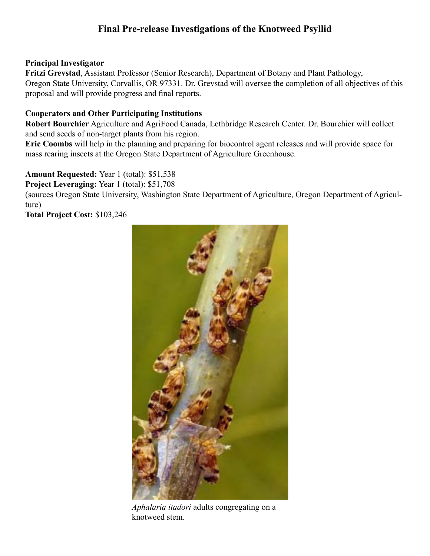## **Final Pre-release Investigations of the Knotweed Psyllid**

#### **Principal Investigator**

**Fritzi Grevstad**, Assistant Professor (Senior Research), Department of Botany and Plant Pathology, Oregon State University, Corvallis, OR 97331. Dr. Grevstad will oversee the completion of all objectives of this proposal and will provide progress and final reports.

#### **Cooperators and Other Participating Institutions**

**Robert Bourchier** Agriculture and AgriFood Canada, Lethbridge Research Center. Dr. Bourchier will collect and send seeds of non-target plants from his region.

**Eric Coombs** will help in the planning and preparing for biocontrol agent releases and will provide space for mass rearing insects at the Oregon State Department of Agriculture Greenhouse.

**Amount Requested:** Year 1 (total): \$51,538

**Project Leveraging:** Year 1 (total): \$51,708

(sources Oregon State University, Washington State Department of Agriculture, Oregon Department of Agriculture)

**Total Project Cost:** \$103,246



*Aphalaria itadori* adults congregating on a knotweed stem.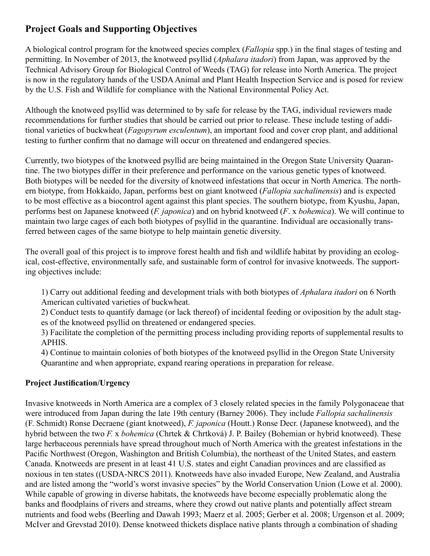# **Project Goals and Supporting Objectives**

A biological control program for the knotweed species complex (*Fallopia* spp.) in the final stages of testing and permitting. In November of 2013, the knotweed psyllid (*Aphalara itadori*) from Japan, was approved by the Technical Advisory Group for Biological Control of Weeds (TAG) for release into North America. The project is now in the regulatory hands of the USDA Animal and Plant Health Inspection Service and is posed for review by the U.S. Fish and Wildlife for compliance with the National Environmental Policy Act.

Although the knotweed psyllid was determined to by safe for release by the TAG, individual reviewers made recommendations for further studies that should be carried out prior to release. These include testing of additional varieties of buckwheat (*Fagopyrum esculentum*), an important food and cover crop plant, and additional testing to further confirm that no damage will occur on threatened and endangered species.

Currently, two biotypes of the knotweed psyllid are being maintained in the Oregon State University Quarantine. The two biotypes differ in their preference and performance on the various genetic types of knotweed. Both biotypes will be needed for the diversity of knotweed infestations that occur in North America. The northern biotype, from Hokkaido, Japan, performs best on giant knotweed (*Fallopia sachalinensis*) and is expected to be most effective as a biocontrol agent against this plant species. The southern biotype, from Kyushu, Japan, performs best on Japanese knotweed (*F. japonica*) and on hybrid knotweed (*F*. x *bohemica*). We will continue to maintain two large cages of each both biotypes of psyllid in the quarantine. Individual are occasionally transferred between cages of the same biotype to help maintain genetic diversity.

The overall goal of this project is to improve forest health and fish and wildlife habitat by providing an ecological, cost-effective, environmentally safe, and sustainable form of control for invasive knotweeds. The supporting objectives include:

1) Carry out additional feeding and development trials with both biotypes of *Aphalara itadori* on 6 North American cultivated varieties of buckwheat.

2) Conduct tests to quantify damage (or lack thereof) of incidental feeding or oviposition by the adult stages of the knotweed psyllid on threatened or endangered species.

3) Facilitate the completion of the permitting process including providing reports of supplemental results to APHIS.

4) Continue to maintain colonies of both biotypes of the knotweed psyllid in the Oregon State University Quarantine and when appropriate, expand rearing operations in preparation for release.

## **Project Justification/Urgency**

Invasive knotweeds in North America are a complex of 3 closely related species in the family Polygonaceae that were introduced from Japan during the late 19th century (Barney 2006). They include *Fallopia sachalinensis* (F. Schmidt) Ronse Decraene (giant knotweed), *F. japonica* (Houtt.) Ronse Decr. (Japanese knotweed), and the hybrid between the two *F.* x *bohemica* (Chrtek & Chrtková) J. P. Bailey (Bohemian or hybrid knotweed). These large herbaceous perennials have spread throughout much of North America with the greatest infestations in the Pacific Northwest (Oregon, Washington and British Columbia), the northeast of the United States, and eastern Canada. Knotweeds are present in at least 41 U.S. states and eight Canadian provinces and are classified as noxious in ten states ((USDA-NRCS 2011). Knotweeds have also invaded Europe, New Zealand, and Australia and are listed among the "world's worst invasive species" by the World Conservation Union (Lowe et al. 2000). While capable of growing in diverse habitats, the knotweeds have become especially problematic along the banks and floodplains of rivers and streams, where they crowd out native plants and potentially affect stream nutrients and food webs (Beerling and Dawah 1993; Maerz et al. 2005; Gerber et al. 2008; Urgenson et al. 2009; McIver and Grevstad 2010). Dense knotweed thickets displace native plants through a combination of shading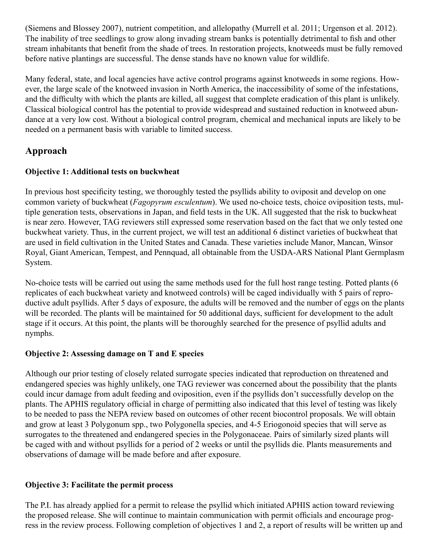(Siemens and Blossey 2007), nutrient competition, and allelopathy (Murrell et al. 2011; Urgenson et al. 2012). The inability of tree seedlings to grow along invading stream banks is potentially detrimental to fish and other stream inhabitants that benefit from the shade of trees. In restoration projects, knotweeds must be fully removed before native plantings are successful. The dense stands have no known value for wildlife.

Many federal, state, and local agencies have active control programs against knotweeds in some regions. However, the large scale of the knotweed invasion in North America, the inaccessibility of some of the infestations, and the difficulty with which the plants are killed, all suggest that complete eradication of this plant is unlikely. Classical biological control has the potential to provide widespread and sustained reduction in knotweed abundance at a very low cost. Without a biological control program, chemical and mechanical inputs are likely to be needed on a permanent basis with variable to limited success.

# **Approach**

## **Objective 1: Additional tests on buckwheat**

In previous host specificity testing, we thoroughly tested the psyllids ability to oviposit and develop on one common variety of buckwheat (*Fagopyrum esculentum*). We used no-choice tests, choice oviposition tests, multiple generation tests, observations in Japan, and field tests in the UK. All suggested that the risk to buckwheat is near zero. However, TAG reviewers still expressed some reservation based on the fact that we only tested one buckwheat variety. Thus, in the current project, we will test an additional 6 distinct varieties of buckwheat that are used in field cultivation in the United States and Canada. These varieties include Manor, Mancan, Winsor Royal, Giant American, Tempest, and Pennquad, all obtainable from the USDA-ARS National Plant Germplasm System.

No-choice tests will be carried out using the same methods used for the full host range testing. Potted plants (6 replicates of each buckwheat variety and knotweed controls) will be caged individually with 5 pairs of reproductive adult psyllids. After 5 days of exposure, the adults will be removed and the number of eggs on the plants will be recorded. The plants will be maintained for 50 additional days, sufficient for development to the adult stage if it occurs. At this point, the plants will be thoroughly searched for the presence of psyllid adults and nymphs.

## **Objective 2: Assessing damage on T and E species**

Although our prior testing of closely related surrogate species indicated that reproduction on threatened and endangered species was highly unlikely, one TAG reviewer was concerned about the possibility that the plants could incur damage from adult feeding and oviposition, even if the psyllids don't successfully develop on the plants. The APHIS regulatory official in charge of permitting also indicated that this level of testing was likely to be needed to pass the NEPA review based on outcomes of other recent biocontrol proposals. We will obtain and grow at least 3 Polygonum spp., two Polygonella species, and 4-5 Eriogonoid species that will serve as surrogates to the threatened and endangered species in the Polygonaceae. Pairs of similarly sized plants will be caged with and without psyllids for a period of 2 weeks or until the psyllids die. Plants measurements and observations of damage will be made before and after exposure.

## **Objective 3: Facilitate the permit process**

The P.I. has already applied for a permit to release the psyllid which initiated APHIS action toward reviewing the proposed release. She will continue to maintain communication with permit officials and encourage progress in the review process. Following completion of objectives 1 and 2, a report of results will be written up and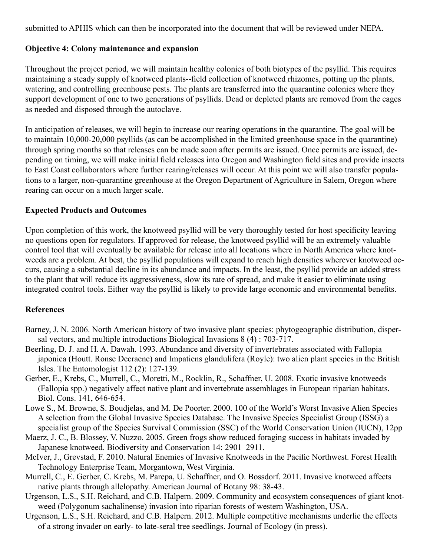submitted to APHIS which can then be incorporated into the document that will be reviewed under NEPA.

## **Objective 4: Colony maintenance and expansion**

Throughout the project period, we will maintain healthy colonies of both biotypes of the psyllid. This requires maintaining a steady supply of knotweed plants--field collection of knotweed rhizomes, potting up the plants, watering, and controlling greenhouse pests. The plants are transferred into the quarantine colonies where they support development of one to two generations of psyllids. Dead or depleted plants are removed from the cages as needed and disposed through the autoclave.

In anticipation of releases, we will begin to increase our rearing operations in the quarantine. The goal will be to maintain 10,000-20,000 psyllids (as can be accomplished in the limited greenhouse space in the quarantine) through spring months so that releases can be made soon after permits are issued. Once permits are issued, depending on timing, we will make initial field releases into Oregon and Washington field sites and provide insects to East Coast collaborators where further rearing/releases will occur. At this point we will also transfer populations to a larger, non-quarantine greenhouse at the Oregon Department of Agriculture in Salem, Oregon where rearing can occur on a much larger scale.

#### **Expected Products and Outcomes**

Upon completion of this work, the knotweed psyllid will be very thoroughly tested for host specificity leaving no questions open for regulators. If approved for release, the knotweed psyllid will be an extremely valuable control tool that will eventually be available for release into all locations where in North America where knotweeds are a problem. At best, the psyllid populations will expand to reach high densities wherever knotweed occurs, causing a substantial decline in its abundance and impacts. In the least, the psyllid provide an added stress to the plant that will reduce its aggressiveness, slow its rate of spread, and make it easier to eliminate using integrated control tools. Either way the psyllid is likely to provide large economic and environmental benefits.

#### **References**

- Barney, J. N. 2006. North American history of two invasive plant species: phytogeographic distribution, dispersal vectors, and multiple introductions Biological Invasions 8 (4) : 703-717.
- Beerling, D. J. and H. A. Dawah. 1993. Abundance and diversity of invertebrates associated with Fallopia japonica (Houtt. Ronse Decraene) and Impatiens glandulifera (Royle): two alien plant species in the British Isles. The Entomologist 112 (2): 127-139.
- Gerber, E., Krebs, C., Murrell, C., Moretti, M., Rocklin, R., Schaffner, U. 2008. Exotic invasive knotweeds (Fallopia spp.) negatively affect native plant and invertebrate assemblages in European riparian habitats. Biol. Cons. 141, 646-654.
- Lowe S., M. Browne, S. Boudjelas, and M. De Poorter. 2000. 100 of the World's Worst Invasive Alien Species A selection from the Global Invasive Species Database. The Invasive Species Specialist Group (ISSG) a specialist group of the Species Survival Commission (SSC) of the World Conservation Union (IUCN), 12pp
- Maerz, J. C., B. Blossey, V. Nuzzo. 2005. Green frogs show reduced foraging success in habitats invaded by Japanese knotweed. Biodiversity and Conservation 14: 2901–2911.
- McIver, J., Grevstad, F. 2010. Natural Enemies of Invasive Knotweeds in the Pacific Northwest. Forest Health Technology Enterprise Team, Morgantown, West Virginia.
- Murrell, C., E. Gerber, C. Krebs, M. Parepa, U. Schaffner, and O. Bossdorf. 2011. Invasive knotweed affects native plants through allelopathy. American Journal of Botany 98: 38-43.
- Urgenson, L.S., S.H. Reichard, and C.B. Halpern. 2009. Community and ecosystem consequences of giant knotweed (Polygonum sachalinense) invasion into riparian forests of western Washington, USA.
- Urgenson, L.S., S.H. Reichard, and C.B. Halpern. 2012. Multiple competitive mechanisms underlie the effects of a strong invader on early- to late-seral tree seedlings. Journal of Ecology (in press).